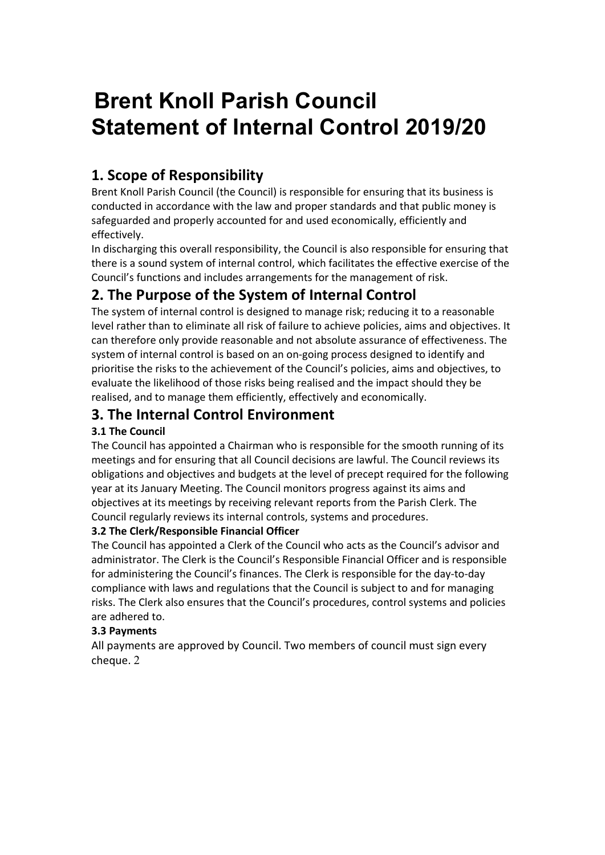# Brent Knoll Parish Council Statement of Internal Control 2019/20

# 1. Scope of Responsibility

Brent Knoll Parish Council (the Council) is responsible for ensuring that its business is conducted in accordance with the law and proper standards and that public money is safeguarded and properly accounted for and used economically, efficiently and effectively.

In discharging this overall responsibility, the Council is also responsible for ensuring that there is a sound system of internal control, which facilitates the effective exercise of the Council's functions and includes arrangements for the management of risk.

# 2. The Purpose of the System of Internal Control

The system of internal control is designed to manage risk; reducing it to a reasonable level rather than to eliminate all risk of failure to achieve policies, aims and objectives. It can therefore only provide reasonable and not absolute assurance of effectiveness. The system of internal control is based on an on-going process designed to identify and prioritise the risks to the achievement of the Council's policies, aims and objectives, to evaluate the likelihood of those risks being realised and the impact should they be realised, and to manage them efficiently, effectively and economically.

# 3. The Internal Control Environment

## 3.1 The Council

The Council has appointed a Chairman who is responsible for the smooth running of its meetings and for ensuring that all Council decisions are lawful. The Council reviews its obligations and objectives and budgets at the level of precept required for the following year at its January Meeting. The Council monitors progress against its aims and objectives at its meetings by receiving relevant reports from the Parish Clerk. The Council regularly reviews its internal controls, systems and procedures.

## 3.2 The Clerk/Responsible Financial Officer

The Council has appointed a Clerk of the Council who acts as the Council's advisor and administrator. The Clerk is the Council's Responsible Financial Officer and is responsible for administering the Council's finances. The Clerk is responsible for the day-to-day compliance with laws and regulations that the Council is subject to and for managing risks. The Clerk also ensures that the Council's procedures, control systems and policies are adhered to.

## 3.3 Payments

All payments are approved by Council. Two members of council must sign every cheque. 2